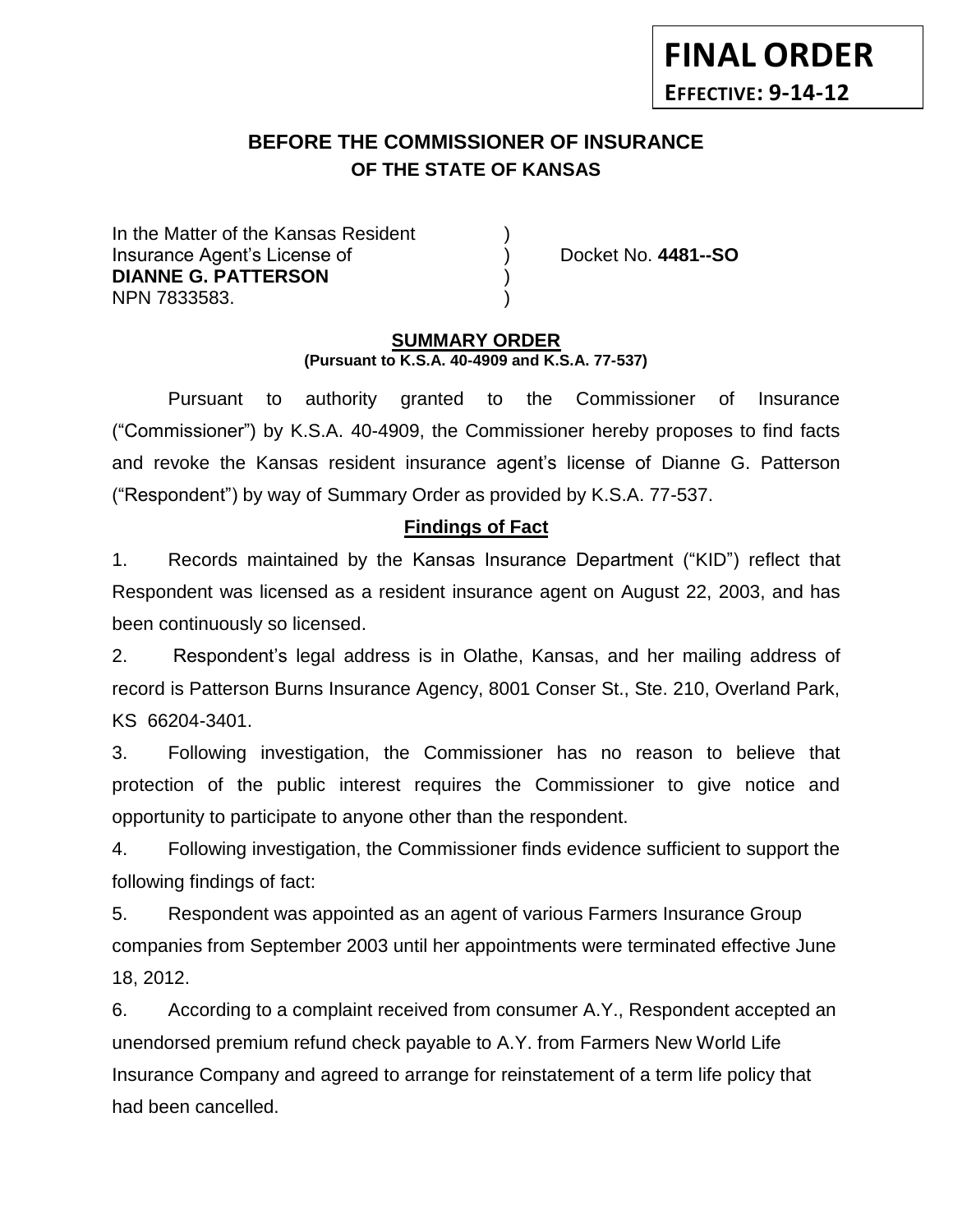# **BEFORE THE COMMISSIONER OF INSURANCE OF THE STATE OF KANSAS**

In the Matter of the Kansas Resident Insurance Agent's License of ) Docket No. **4481--SO DIANNE G. PATTERSON** ) NPN 7833583. )

**FINAL ORDER**

**EFFECTIVE: 9-14-12**

#### **SUMMARY ORDER (Pursuant to K.S.A. 40-4909 and K.S.A. 77-537)**

Pursuant to authority granted to the Commissioner of Insurance ("Commissioner") by K.S.A. 40-4909, the Commissioner hereby proposes to find facts and revoke the Kansas resident insurance agent's license of Dianne G. Patterson ("Respondent") by way of Summary Order as provided by K.S.A. 77-537.

#### **Findings of Fact**

1. Records maintained by the Kansas Insurance Department ("KID") reflect that Respondent was licensed as a resident insurance agent on August 22, 2003, and has been continuously so licensed.

2. Respondent's legal address is in Olathe, Kansas, and her mailing address of record is Patterson Burns Insurance Agency, 8001 Conser St., Ste. 210, Overland Park, KS 66204-3401.

3. Following investigation, the Commissioner has no reason to believe that protection of the public interest requires the Commissioner to give notice and opportunity to participate to anyone other than the respondent.

4. Following investigation, the Commissioner finds evidence sufficient to support the following findings of fact:

5. Respondent was appointed as an agent of various Farmers Insurance Group companies from September 2003 until her appointments were terminated effective June 18, 2012.

6. According to a complaint received from consumer A.Y., Respondent accepted an unendorsed premium refund check payable to A.Y. from Farmers New World Life Insurance Company and agreed to arrange for reinstatement of a term life policy that had been cancelled.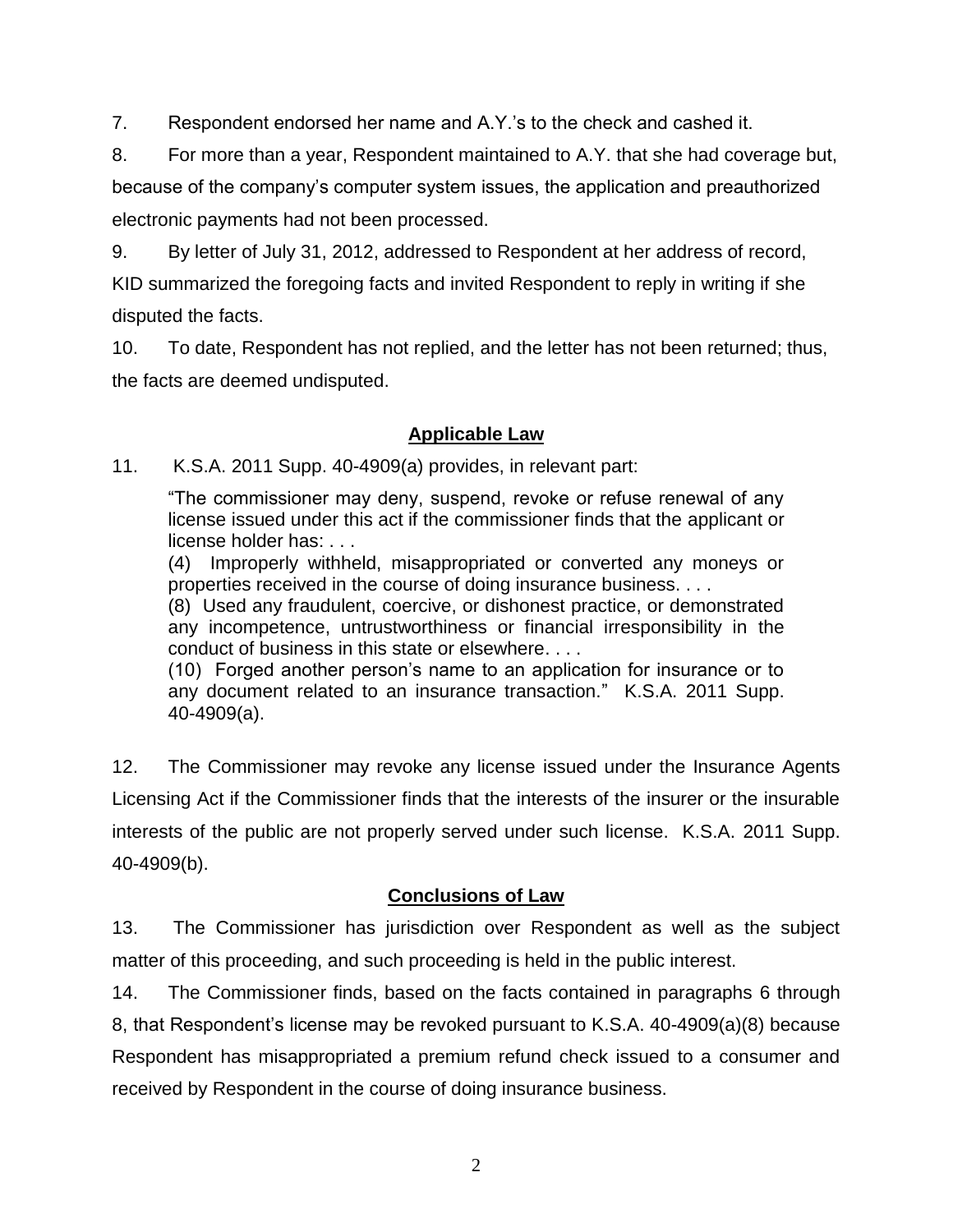7. Respondent endorsed her name and A.Y.'s to the check and cashed it.

8. For more than a year, Respondent maintained to A.Y. that she had coverage but, because of the company's computer system issues, the application and preauthorized electronic payments had not been processed.

9. By letter of July 31, 2012, addressed to Respondent at her address of record, KID summarized the foregoing facts and invited Respondent to reply in writing if she disputed the facts.

10. To date, Respondent has not replied, and the letter has not been returned; thus, the facts are deemed undisputed.

### **Applicable Law**

11. K.S.A. 2011 Supp. 40-4909(a) provides, in relevant part:

"The commissioner may deny, suspend, revoke or refuse renewal of any license issued under this act if the commissioner finds that the applicant or license holder has: . . .

(4) Improperly withheld, misappropriated or converted any moneys or properties received in the course of doing insurance business. . . .

(8) Used any fraudulent, coercive, or dishonest practice, or demonstrated any incompetence, untrustworthiness or financial irresponsibility in the conduct of business in this state or elsewhere. . . .

(10) Forged another person's name to an application for insurance or to any document related to an insurance transaction." K.S.A. 2011 Supp. 40-4909(a).

12. The Commissioner may revoke any license issued under the Insurance Agents Licensing Act if the Commissioner finds that the interests of the insurer or the insurable interests of the public are not properly served under such license. K.S.A. 2011 Supp. 40-4909(b).

## **Conclusions of Law**

13. The Commissioner has jurisdiction over Respondent as well as the subject matter of this proceeding, and such proceeding is held in the public interest.

14. The Commissioner finds, based on the facts contained in paragraphs 6 through 8, that Respondent's license may be revoked pursuant to K.S.A. 40-4909(a)(8) because Respondent has misappropriated a premium refund check issued to a consumer and received by Respondent in the course of doing insurance business.

2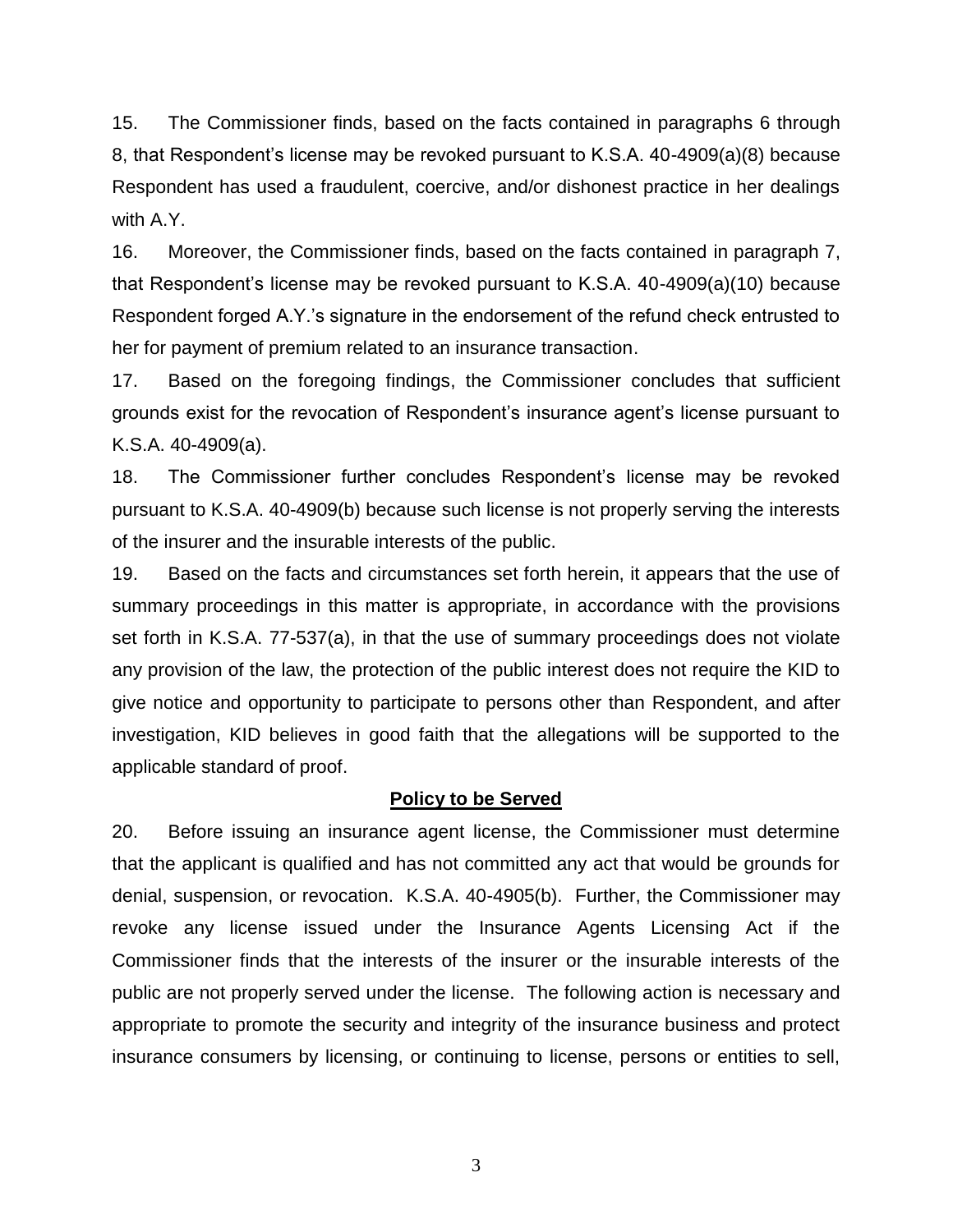15. The Commissioner finds, based on the facts contained in paragraphs 6 through 8, that Respondent's license may be revoked pursuant to K.S.A. 40-4909(a)(8) because Respondent has used a fraudulent, coercive, and/or dishonest practice in her dealings with A.Y.

16. Moreover, the Commissioner finds, based on the facts contained in paragraph 7, that Respondent's license may be revoked pursuant to K.S.A. 40-4909(a)(10) because Respondent forged A.Y.'s signature in the endorsement of the refund check entrusted to her for payment of premium related to an insurance transaction.

17. Based on the foregoing findings, the Commissioner concludes that sufficient grounds exist for the revocation of Respondent's insurance agent's license pursuant to K.S.A. 40-4909(a).

18. The Commissioner further concludes Respondent's license may be revoked pursuant to K.S.A. 40-4909(b) because such license is not properly serving the interests of the insurer and the insurable interests of the public.

19. Based on the facts and circumstances set forth herein, it appears that the use of summary proceedings in this matter is appropriate, in accordance with the provisions set forth in K.S.A. 77-537(a), in that the use of summary proceedings does not violate any provision of the law, the protection of the public interest does not require the KID to give notice and opportunity to participate to persons other than Respondent, and after investigation, KID believes in good faith that the allegations will be supported to the applicable standard of proof.

#### **Policy to be Served**

20. Before issuing an insurance agent license, the Commissioner must determine that the applicant is qualified and has not committed any act that would be grounds for denial, suspension, or revocation. K.S.A. 40-4905(b). Further, the Commissioner may revoke any license issued under the Insurance Agents Licensing Act if the Commissioner finds that the interests of the insurer or the insurable interests of the public are not properly served under the license. The following action is necessary and appropriate to promote the security and integrity of the insurance business and protect insurance consumers by licensing, or continuing to license, persons or entities to sell,

3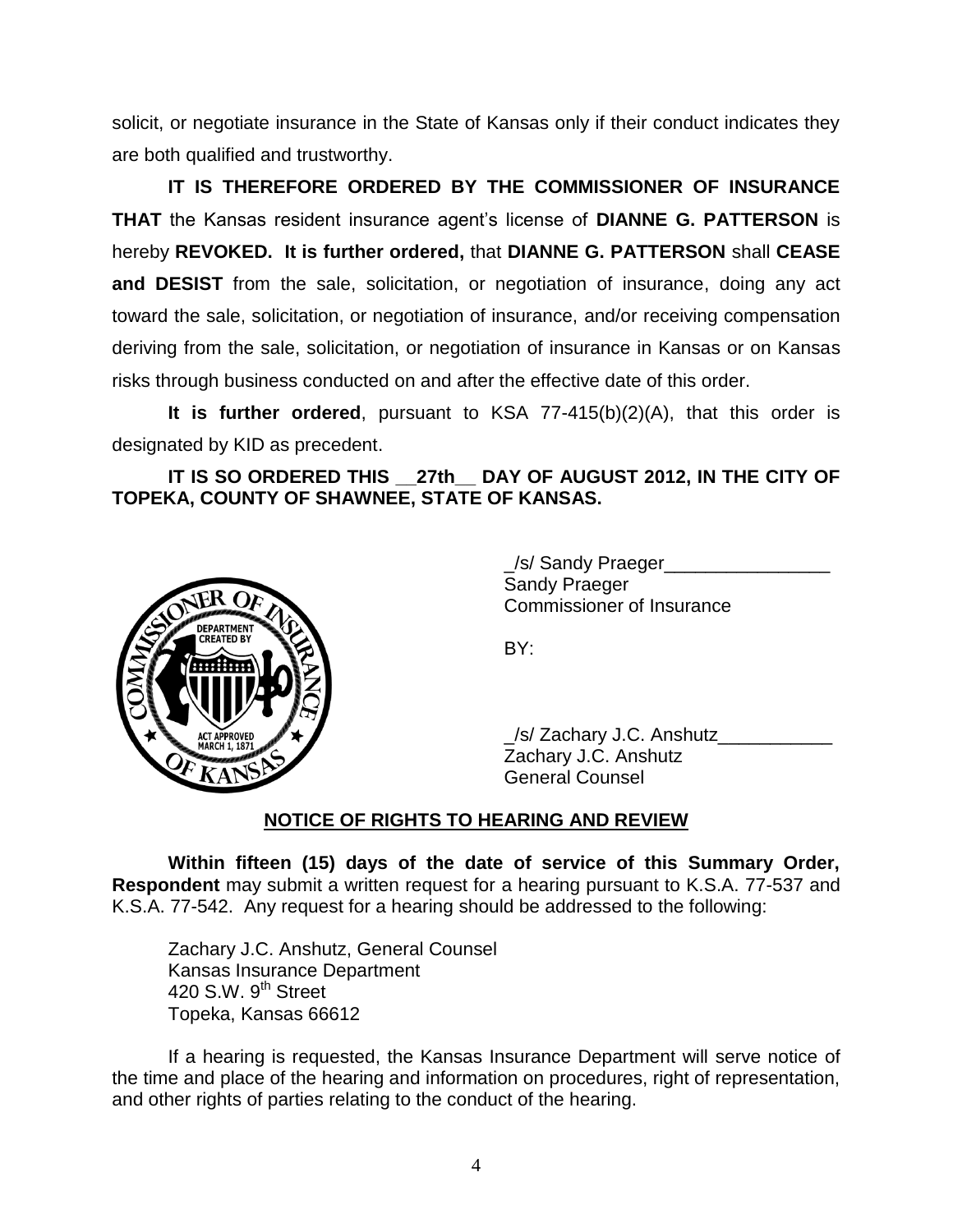solicit, or negotiate insurance in the State of Kansas only if their conduct indicates they are both qualified and trustworthy.

**IT IS THEREFORE ORDERED BY THE COMMISSIONER OF INSURANCE THAT** the Kansas resident insurance agent's license of **DIANNE G. PATTERSON** is hereby **REVOKED. It is further ordered,** that **DIANNE G. PATTERSON** shall **CEASE and DESIST** from the sale, solicitation, or negotiation of insurance, doing any act toward the sale, solicitation, or negotiation of insurance, and/or receiving compensation deriving from the sale, solicitation, or negotiation of insurance in Kansas or on Kansas risks through business conducted on and after the effective date of this order.

**It is further ordered**, pursuant to KSA 77-415(b)(2)(A), that this order is designated by KID as precedent.

**IT IS SO ORDERED THIS \_\_27th\_\_ DAY OF AUGUST 2012, IN THE CITY OF TOPEKA, COUNTY OF SHAWNEE, STATE OF KANSAS.**



\_/s/ Sandy Praeger\_\_\_\_\_\_\_\_\_\_\_\_\_\_\_\_ Sandy Praeger Commissioner of Insurance

BY:

\_/s/ Zachary J.C. Anshutz\_\_\_\_\_\_\_\_\_\_\_ Zachary J.C. Anshutz General Counsel

## **NOTICE OF RIGHTS TO HEARING AND REVIEW**

**Within fifteen (15) days of the date of service of this Summary Order, Respondent** may submit a written request for a hearing pursuant to K.S.A. 77-537 and K.S.A. 77-542. Any request for a hearing should be addressed to the following:

Zachary J.C. Anshutz, General Counsel Kansas Insurance Department 420 S.W.  $9<sup>th</sup>$  Street Topeka, Kansas 66612

If a hearing is requested, the Kansas Insurance Department will serve notice of the time and place of the hearing and information on procedures, right of representation, and other rights of parties relating to the conduct of the hearing.